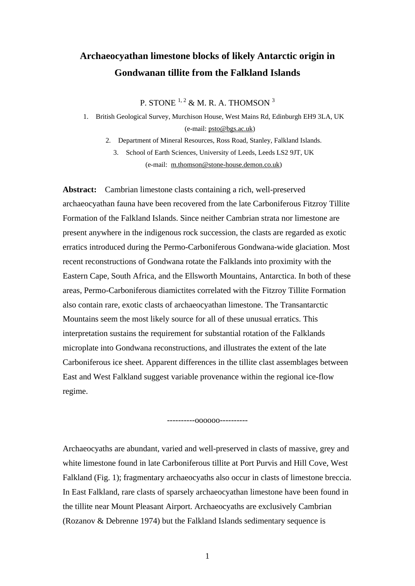# **Archaeocyathan limestone blocks of likely Antarctic origin in Gondwanan tillite from the Falkland Islands**

P. STONE  $1, 2$  & M. R. A. THOMSON  $3$ 

1. British Geological Survey, Murchison House, West Mains Rd, Edinburgh EH9 3LA, UK (e-mail: psto@bgs.ac.uk)

2. Department of Mineral Resources, Ross Road, Stanley, Falkland Islands. 3. School of Earth Sciences, University of Leeds, Leeds LS2 9JT, UK

(e-mail: m.thomson@stone-house.demon.co.uk)

**Abstract:** Cambrian limestone clasts containing a rich, well-preserved archaeocyathan fauna have been recovered from the late Carboniferous Fitzroy Tillite Formation of the Falkland Islands. Since neither Cambrian strata nor limestone are present anywhere in the indigenous rock succession, the clasts are regarded as exotic erratics introduced during the Permo-Carboniferous Gondwana-wide glaciation. Most recent reconstructions of Gondwana rotate the Falklands into proximity with the Eastern Cape, South Africa, and the Ellsworth Mountains, Antarctica. In both of these areas, Permo-Carboniferous diamictites correlated with the Fitzroy Tillite Formation also contain rare, exotic clasts of archaeocyathan limestone. The Transantarctic Mountains seem the most likely source for all of these unusual erratics. This interpretation sustains the requirement for substantial rotation of the Falklands microplate into Gondwana reconstructions, and illustrates the extent of the late Carboniferous ice sheet. Apparent differences in the tillite clast assemblages between East and West Falkland suggest variable provenance within the regional ice-flow regime.

----------oooooo----------

Archaeocyaths are abundant, varied and well-preserved in clasts of massive, grey and white limestone found in late Carboniferous tillite at Port Purvis and Hill Cove, West Falkland (Fig. 1); fragmentary archaeocyaths also occur in clasts of limestone breccia. In East Falkland, rare clasts of sparsely archaeocyathan limestone have been found in the tillite near Mount Pleasant Airport. Archaeocyaths are exclusively Cambrian (Rozanov & Debrenne 1974) but the Falkland Islands sedimentary sequence is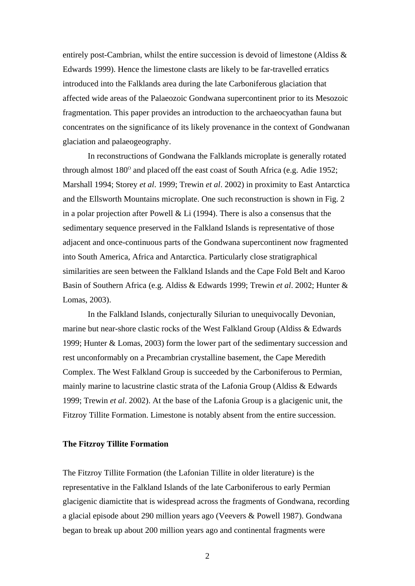entirely post-Cambrian, whilst the entire succession is devoid of limestone (Aldiss & Edwards 1999). Hence the limestone clasts are likely to be far-travelled erratics introduced into the Falklands area during the late Carboniferous glaciation that affected wide areas of the Palaeozoic Gondwana supercontinent prior to its Mesozoic fragmentation. This paper provides an introduction to the archaeocyathan fauna but concentrates on the significance of its likely provenance in the context of Gondwanan glaciation and palaeogeography.

In reconstructions of Gondwana the Falklands microplate is generally rotated through almost  $180^\circ$  and placed off the east coast of South Africa (e.g. Adie 1952; Marshall 1994; Storey *et al*. 1999; Trewin *et al*. 2002) in proximity to East Antarctica and the Ellsworth Mountains microplate. One such reconstruction is shown in Fig. 2 in a polar projection after Powell & Li (1994). There is also a consensus that the sedimentary sequence preserved in the Falkland Islands is representative of those adjacent and once-continuous parts of the Gondwana supercontinent now fragmented into South America, Africa and Antarctica. Particularly close stratigraphical similarities are seen between the Falkland Islands and the Cape Fold Belt and Karoo Basin of Southern Africa (e.g. Aldiss & Edwards 1999; Trewin *et al*. 2002; Hunter & Lomas, 2003).

In the Falkland Islands, conjecturally Silurian to unequivocally Devonian, marine but near-shore clastic rocks of the West Falkland Group (Aldiss & Edwards 1999; Hunter & Lomas, 2003) form the lower part of the sedimentary succession and rest unconformably on a Precambrian crystalline basement, the Cape Meredith Complex. The West Falkland Group is succeeded by the Carboniferous to Permian, mainly marine to lacustrine clastic strata of the Lafonia Group (Aldiss & Edwards 1999; Trewin *et al*. 2002). At the base of the Lafonia Group is a glacigenic unit, the Fitzroy Tillite Formation. Limestone is notably absent from the entire succession.

# **The Fitzroy Tillite Formation**

The Fitzroy Tillite Formation (the Lafonian Tillite in older literature) is the representative in the Falkland Islands of the late Carboniferous to early Permian glacigenic diamictite that is widespread across the fragments of Gondwana, recording a glacial episode about 290 million years ago (Veevers & Powell 1987). Gondwana began to break up about 200 million years ago and continental fragments were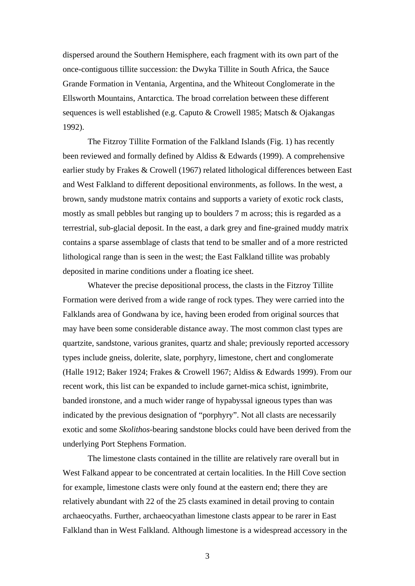dispersed around the Southern Hemisphere, each fragment with its own part of the once-contiguous tillite succession: the Dwyka Tillite in South Africa, the Sauce Grande Formation in Ventania, Argentina, and the Whiteout Conglomerate in the Ellsworth Mountains, Antarctica. The broad correlation between these different sequences is well established (e.g. Caputo & Crowell 1985; Matsch & Ojakangas 1992).

The Fitzroy Tillite Formation of the Falkland Islands (Fig. 1) has recently been reviewed and formally defined by Aldiss & Edwards (1999). A comprehensive earlier study by Frakes & Crowell (1967) related lithological differences between East and West Falkland to different depositional environments, as follows. In the west, a brown, sandy mudstone matrix contains and supports a variety of exotic rock clasts, mostly as small pebbles but ranging up to boulders 7 m across; this is regarded as a terrestrial, sub-glacial deposit. In the east, a dark grey and fine-grained muddy matrix contains a sparse assemblage of clasts that tend to be smaller and of a more restricted lithological range than is seen in the west; the East Falkland tillite was probably deposited in marine conditions under a floating ice sheet.

Whatever the precise depositional process, the clasts in the Fitzroy Tillite Formation were derived from a wide range of rock types. They were carried into the Falklands area of Gondwana by ice, having been eroded from original sources that may have been some considerable distance away. The most common clast types are quartzite, sandstone, various granites, quartz and shale; previously reported accessory types include gneiss, dolerite, slate, porphyry, limestone, chert and conglomerate (Halle 1912; Baker 1924; Frakes & Crowell 1967; Aldiss & Edwards 1999). From our recent work, this list can be expanded to include garnet-mica schist, ignimbrite, banded ironstone, and a much wider range of hypabyssal igneous types than was indicated by the previous designation of "porphyry". Not all clasts are necessarily exotic and some *Skolithos*-bearing sandstone blocks could have been derived from the underlying Port Stephens Formation.

The limestone clasts contained in the tillite are relatively rare overall but in West Falkand appear to be concentrated at certain localities. In the Hill Cove section for example, limestone clasts were only found at the eastern end; there they are relatively abundant with 22 of the 25 clasts examined in detail proving to contain archaeocyaths. Further, archaeocyathan limestone clasts appear to be rarer in East Falkland than in West Falkland. Although limestone is a widespread accessory in the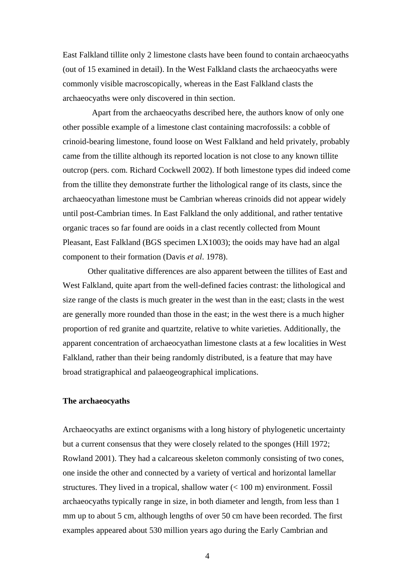East Falkland tillite only 2 limestone clasts have been found to contain archaeocyaths (out of 15 examined in detail). In the West Falkland clasts the archaeocyaths were commonly visible macroscopically, whereas in the East Falkland clasts the archaeocyaths were only discovered in thin section.

 Apart from the archaeocyaths described here, the authors know of only one other possible example of a limestone clast containing macrofossils: a cobble of crinoid-bearing limestone, found loose on West Falkland and held privately, probably came from the tillite although its reported location is not close to any known tillite outcrop (pers. com. Richard Cockwell 2002). If both limestone types did indeed come from the tillite they demonstrate further the lithological range of its clasts, since the archaeocyathan limestone must be Cambrian whereas crinoids did not appear widely until post-Cambrian times. In East Falkland the only additional, and rather tentative organic traces so far found are ooids in a clast recently collected from Mount Pleasant, East Falkland (BGS specimen LX1003); the ooids may have had an algal component to their formation (Davis *et al*. 1978).

Other qualitative differences are also apparent between the tillites of East and West Falkland, quite apart from the well-defined facies contrast: the lithological and size range of the clasts is much greater in the west than in the east; clasts in the west are generally more rounded than those in the east; in the west there is a much higher proportion of red granite and quartzite, relative to white varieties. Additionally, the apparent concentration of archaeocyathan limestone clasts at a few localities in West Falkland, rather than their being randomly distributed, is a feature that may have broad stratigraphical and palaeogeographical implications.

# **The archaeocyaths**

Archaeocyaths are extinct organisms with a long history of phylogenetic uncertainty but a current consensus that they were closely related to the sponges (Hill 1972; Rowland 2001). They had a calcareous skeleton commonly consisting of two cones, one inside the other and connected by a variety of vertical and horizontal lamellar structures. They lived in a tropical, shallow water  $(< 100 \text{ m})$  environment. Fossil archaeocyaths typically range in size, in both diameter and length, from less than 1 mm up to about 5 cm, although lengths of over 50 cm have been recorded. The first examples appeared about 530 million years ago during the Early Cambrian and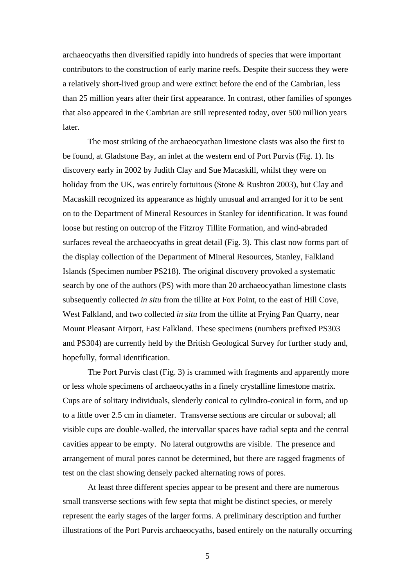archaeocyaths then diversified rapidly into hundreds of species that were important contributors to the construction of early marine reefs. Despite their success they were a relatively short-lived group and were extinct before the end of the Cambrian, less than 25 million years after their first appearance. In contrast, other families of sponges that also appeared in the Cambrian are still represented today, over 500 million years later.

The most striking of the archaeocyathan limestone clasts was also the first to be found, at Gladstone Bay, an inlet at the western end of Port Purvis (Fig. 1). Its discovery early in 2002 by Judith Clay and Sue Macaskill, whilst they were on holiday from the UK, was entirely fortuitous (Stone & Rushton 2003), but Clay and Macaskill recognized its appearance as highly unusual and arranged for it to be sent on to the Department of Mineral Resources in Stanley for identification. It was found loose but resting on outcrop of the Fitzroy Tillite Formation, and wind-abraded surfaces reveal the archaeocyaths in great detail (Fig. 3). This clast now forms part of the display collection of the Department of Mineral Resources, Stanley, Falkland Islands (Specimen number PS218). The original discovery provoked a systematic search by one of the authors (PS) with more than 20 archaeocyathan limestone clasts subsequently collected *in situ* from the tillite at Fox Point, to the east of Hill Cove, West Falkland, and two collected *in situ* from the tillite at Frying Pan Quarry, near Mount Pleasant Airport, East Falkland. These specimens (numbers prefixed PS303 and PS304) are currently held by the British Geological Survey for further study and, hopefully, formal identification.

The Port Purvis clast (Fig. 3) is crammed with fragments and apparently more or less whole specimens of archaeocyaths in a finely crystalline limestone matrix. Cups are of solitary individuals, slenderly conical to cylindro-conical in form, and up to a little over 2.5 cm in diameter. Transverse sections are circular or suboval; all visible cups are double-walled, the intervallar spaces have radial septa and the central cavities appear to be empty. No lateral outgrowths are visible. The presence and arrangement of mural pores cannot be determined, but there are ragged fragments of test on the clast showing densely packed alternating rows of pores.

At least three different species appear to be present and there are numerous small transverse sections with few septa that might be distinct species, or merely represent the early stages of the larger forms. A preliminary description and further illustrations of the Port Purvis archaeocyaths, based entirely on the naturally occurring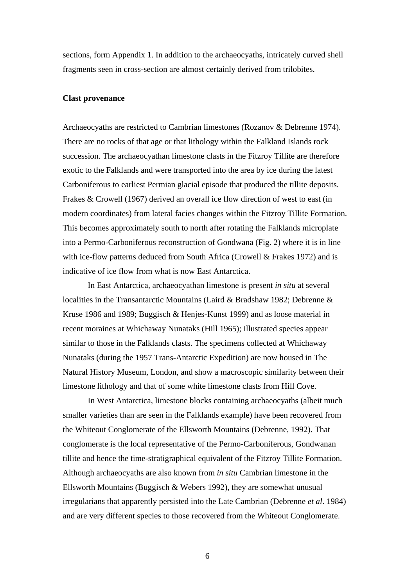sections, form Appendix 1. In addition to the archaeocyaths, intricately curved shell fragments seen in cross-section are almost certainly derived from trilobites.

# **Clast provenance**

Archaeocyaths are restricted to Cambrian limestones (Rozanov & Debrenne 1974). There are no rocks of that age or that lithology within the Falkland Islands rock succession. The archaeocyathan limestone clasts in the Fitzroy Tillite are therefore exotic to the Falklands and were transported into the area by ice during the latest Carboniferous to earliest Permian glacial episode that produced the tillite deposits. Frakes & Crowell (1967) derived an overall ice flow direction of west to east (in modern coordinates) from lateral facies changes within the Fitzroy Tillite Formation. This becomes approximately south to north after rotating the Falklands microplate into a Permo-Carboniferous reconstruction of Gondwana (Fig. 2) where it is in line with ice-flow patterns deduced from South Africa (Crowell & Frakes 1972) and is indicative of ice flow from what is now East Antarctica.

In East Antarctica, archaeocyathan limestone is present *in situ* at several localities in the Transantarctic Mountains (Laird & Bradshaw 1982; Debrenne & Kruse 1986 and 1989; Buggisch & Henjes-Kunst 1999) and as loose material in recent moraines at Whichaway Nunataks (Hill 1965); illustrated species appear similar to those in the Falklands clasts. The specimens collected at Whichaway Nunataks (during the 1957 Trans-Antarctic Expedition) are now housed in The Natural History Museum, London, and show a macroscopic similarity between their limestone lithology and that of some white limestone clasts from Hill Cove.

In West Antarctica, limestone blocks containing archaeocyaths (albeit much smaller varieties than are seen in the Falklands example) have been recovered from the Whiteout Conglomerate of the Ellsworth Mountains (Debrenne, 1992). That conglomerate is the local representative of the Permo-Carboniferous, Gondwanan tillite and hence the time-stratigraphical equivalent of the Fitzroy Tillite Formation. Although archaeocyaths are also known from *in situ* Cambrian limestone in the Ellsworth Mountains (Buggisch & Webers 1992), they are somewhat unusual irregularians that apparently persisted into the Late Cambrian (Debrenne *et al*. 1984) and are very different species to those recovered from the Whiteout Conglomerate.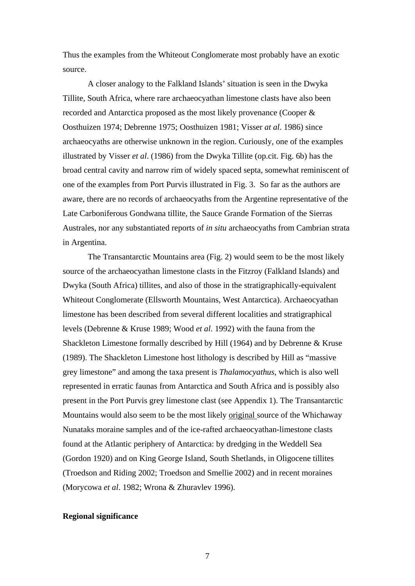Thus the examples from the Whiteout Conglomerate most probably have an exotic source.

A closer analogy to the Falkland Islands' situation is seen in the Dwyka Tillite, South Africa, where rare archaeocyathan limestone clasts have also been recorded and Antarctica proposed as the most likely provenance (Cooper & Oosthuizen 1974; Debrenne 1975; Oosthuizen 1981; Visser *at al*. 1986) since archaeocyaths are otherwise unknown in the region. Curiously, one of the examples illustrated by Visser *et al*. (1986) from the Dwyka Tillite (op.cit. Fig. 6b) has the broad central cavity and narrow rim of widely spaced septa, somewhat reminiscent of one of the examples from Port Purvis illustrated in Fig. 3. So far as the authors are aware, there are no records of archaeocyaths from the Argentine representative of the Late Carboniferous Gondwana tillite, the Sauce Grande Formation of the Sierras Australes, nor any substantiated reports of *in situ* archaeocyaths from Cambrian strata in Argentina.

The Transantarctic Mountains area (Fig. 2) would seem to be the most likely source of the archaeocyathan limestone clasts in the Fitzroy (Falkland Islands) and Dwyka (South Africa) tillites, and also of those in the stratigraphically-equivalent Whiteout Conglomerate (Ellsworth Mountains, West Antarctica). Archaeocyathan limestone has been described from several different localities and stratigraphical levels (Debrenne & Kruse 1989; Wood *et al*. 1992) with the fauna from the Shackleton Limestone formally described by Hill (1964) and by Debrenne & Kruse (1989). The Shackleton Limestone host lithology is described by Hill as "massive grey limestone" and among the taxa present is *Thalamocyathus*, which is also well represented in erratic faunas from Antarctica and South Africa and is possibly also present in the Port Purvis grey limestone clast (see Appendix 1). The Transantarctic Mountains would also seem to be the most likely original source of the Whichaway Nunataks moraine samples and of the ice-rafted archaeocyathan-limestone clasts found at the Atlantic periphery of Antarctica: by dredging in the Weddell Sea (Gordon 1920) and on King George Island, South Shetlands, in Oligocene tillites (Troedson and Riding 2002; Troedson and Smellie 2002) and in recent moraines (Morycowa *et al*. 1982; Wrona & Zhuravlev 1996).

# **Regional significance**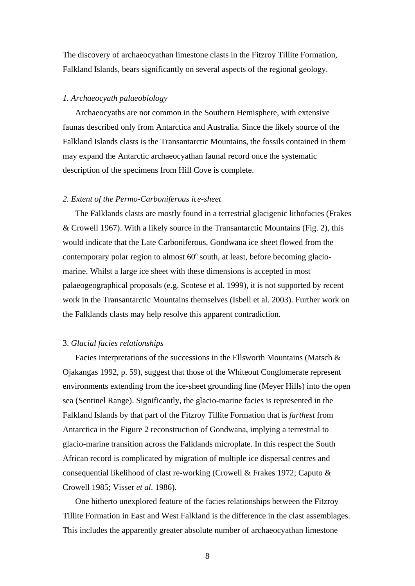The discovery of archaeocyathan limestone clasts in the Fitzroy Tillite Formation, Falkland Islands, bears significantly on several aspects of the regional geology.

# *1. Archaeocyath palaeobiology*

Archaeocyaths are not common in the Southern Hemisphere, with extensive faunas described only from Antarctica and Australia. Since the likely source of the Falkland Islands clasts is the Transantarctic Mountains, the fossils contained in them may expand the Antarctic archaeocyathan faunal record once the systematic description of the specimens from Hill Cove is complete.

# *2. Extent of the Permo-Carboniferous ice-sheet*

The Falklands clasts are mostly found in a terrestrial glacigenic lithofacies (Frakes & Crowell 1967). With a likely source in the Transantarctic Mountains (Fig. 2), this would indicate that the Late Carboniferous, Gondwana ice sheet flowed from the contemporary polar region to almost  $60^{\circ}$  south, at least, before becoming glaciomarine. Whilst a large ice sheet with these dimensions is accepted in most palaeogeographical proposals (e.g. Scotese et al. 1999), it is not supported by recent work in the Transantarctic Mountains themselves (Isbell et al. 2003). Further work on the Falklands clasts may help resolve this apparent contradiction.

#### 3. *Glacial facies relationships*

Facies interpretations of the successions in the Ellsworth Mountains (Matsch & Ojakangas 1992, p. 59), suggest that those of the Whiteout Conglomerate represent environments extending from the ice-sheet grounding line (Meyer Hills) into the open sea (Sentinel Range). Significantly, the glacio-marine facies is represented in the Falkland Islands by that part of the Fitzroy Tillite Formation that is *farthest* from Antarctica in the Figure 2 reconstruction of Gondwana, implying a terrestrial to glacio-marine transition across the Falklands microplate. In this respect the South African record is complicated by migration of multiple ice dispersal centres and consequential likelihood of clast re-working (Crowell & Frakes 1972; Caputo & Crowell 1985; Visser *et al*. 1986).

One hitherto unexplored feature of the facies relationships between the Fitzroy Tillite Formation in East and West Falkland is the difference in the clast assemblages. This includes the apparently greater absolute number of archaeocyathan limestone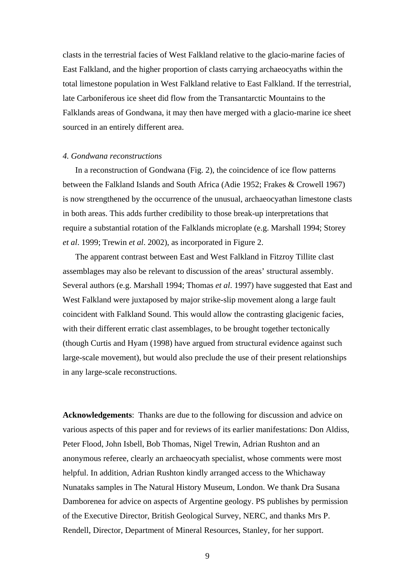clasts in the terrestrial facies of West Falkland relative to the glacio-marine facies of East Falkland, and the higher proportion of clasts carrying archaeocyaths within the total limestone population in West Falkland relative to East Falkland. If the terrestrial, late Carboniferous ice sheet did flow from the Transantarctic Mountains to the Falklands areas of Gondwana, it may then have merged with a glacio-marine ice sheet sourced in an entirely different area.

#### *4. Gondwana reconstructions*

In a reconstruction of Gondwana (Fig. 2), the coincidence of ice flow patterns between the Falkland Islands and South Africa (Adie 1952; Frakes & Crowell 1967) is now strengthened by the occurrence of the unusual, archaeocyathan limestone clasts in both areas. This adds further credibility to those break-up interpretations that require a substantial rotation of the Falklands microplate (e.g. Marshall 1994; Storey *et al*. 1999; Trewin *et al*. 2002), as incorporated in Figure 2.

The apparent contrast between East and West Falkland in Fitzroy Tillite clast assemblages may also be relevant to discussion of the areas' structural assembly. Several authors (e.g. Marshall 1994; Thomas *et al*. 1997) have suggested that East and West Falkland were juxtaposed by major strike-slip movement along a large fault coincident with Falkland Sound. This would allow the contrasting glacigenic facies, with their different erratic clast assemblages, to be brought together tectonically (though Curtis and Hyam (1998) have argued from structural evidence against such large-scale movement), but would also preclude the use of their present relationships in any large-scale reconstructions.

**Acknowledgements**: Thanks are due to the following for discussion and advice on various aspects of this paper and for reviews of its earlier manifestations: Don Aldiss, Peter Flood, John Isbell, Bob Thomas, Nigel Trewin, Adrian Rushton and an anonymous referee, clearly an archaeocyath specialist, whose comments were most helpful. In addition, Adrian Rushton kindly arranged access to the Whichaway Nunataks samples in The Natural History Museum, London. We thank Dra Susana Damborenea for advice on aspects of Argentine geology. PS publishes by permission of the Executive Director, British Geological Survey, NERC, and thanks Mrs P. Rendell, Director, Department of Mineral Resources, Stanley, for her support.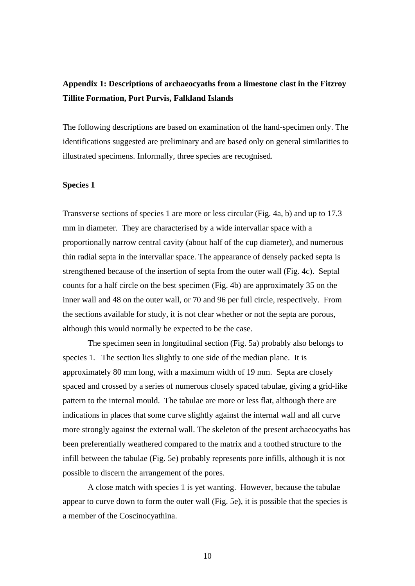# **Appendix 1: Descriptions of archaeocyaths from a limestone clast in the Fitzroy Tillite Formation, Port Purvis, Falkland Islands**

The following descriptions are based on examination of the hand-specimen only. The identifications suggested are preliminary and are based only on general similarities to illustrated specimens. Informally, three species are recognised.

# **Species 1**

Transverse sections of species 1 are more or less circular (Fig. 4a, b) and up to 17.3 mm in diameter. They are characterised by a wide intervallar space with a proportionally narrow central cavity (about half of the cup diameter), and numerous thin radial septa in the intervallar space. The appearance of densely packed septa is strengthened because of the insertion of septa from the outer wall (Fig. 4c). Septal counts for a half circle on the best specimen (Fig. 4b) are approximately 35 on the inner wall and 48 on the outer wall, or 70 and 96 per full circle, respectively. From the sections available for study, it is not clear whether or not the septa are porous, although this would normally be expected to be the case.

The specimen seen in longitudinal section (Fig. 5a) probably also belongs to species 1. The section lies slightly to one side of the median plane. It is approximately 80 mm long, with a maximum width of 19 mm. Septa are closely spaced and crossed by a series of numerous closely spaced tabulae, giving a grid-like pattern to the internal mould. The tabulae are more or less flat, although there are indications in places that some curve slightly against the internal wall and all curve more strongly against the external wall. The skeleton of the present archaeocyaths has been preferentially weathered compared to the matrix and a toothed structure to the infill between the tabulae (Fig. 5e) probably represents pore infills, although it is not possible to discern the arrangement of the pores.

A close match with species 1 is yet wanting. However, because the tabulae appear to curve down to form the outer wall (Fig. 5e), it is possible that the species is a member of the Coscinocyathina.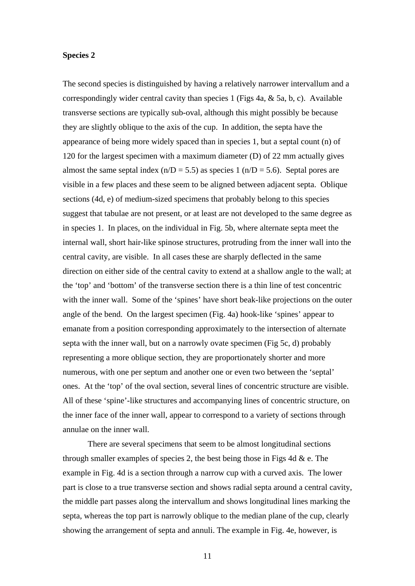# **Species 2**

The second species is distinguished by having a relatively narrower intervallum and a correspondingly wider central cavity than species 1 (Figs 4a, & 5a, b, c). Available transverse sections are typically sub-oval, although this might possibly be because they are slightly oblique to the axis of the cup. In addition, the septa have the appearance of being more widely spaced than in species 1, but a septal count (n) of 120 for the largest specimen with a maximum diameter (D) of 22 mm actually gives almost the same septal index  $(n/D = 5.5)$  as species 1  $(n/D = 5.6)$ . Septal pores are visible in a few places and these seem to be aligned between adjacent septa. Oblique sections (4d, e) of medium-sized specimens that probably belong to this species suggest that tabulae are not present, or at least are not developed to the same degree as in species 1. In places, on the individual in Fig. 5b, where alternate septa meet the internal wall, short hair-like spinose structures, protruding from the inner wall into the central cavity, are visible. In all cases these are sharply deflected in the same direction on either side of the central cavity to extend at a shallow angle to the wall; at the 'top' and 'bottom' of the transverse section there is a thin line of test concentric with the inner wall. Some of the 'spines' have short beak-like projections on the outer angle of the bend. On the largest specimen (Fig. 4a) hook-like 'spines' appear to emanate from a position corresponding approximately to the intersection of alternate septa with the inner wall, but on a narrowly ovate specimen (Fig 5c, d) probably representing a more oblique section, they are proportionately shorter and more numerous, with one per septum and another one or even two between the 'septal' ones. At the 'top' of the oval section, several lines of concentric structure are visible. All of these 'spine'-like structures and accompanying lines of concentric structure, on the inner face of the inner wall, appear to correspond to a variety of sections through annulae on the inner wall.

There are several specimens that seem to be almost longitudinal sections through smaller examples of species 2, the best being those in Figs 4d  $\&e$ . The example in Fig. 4d is a section through a narrow cup with a curved axis. The lower part is close to a true transverse section and shows radial septa around a central cavity, the middle part passes along the intervallum and shows longitudinal lines marking the septa, whereas the top part is narrowly oblique to the median plane of the cup, clearly showing the arrangement of septa and annuli. The example in Fig. 4e, however, is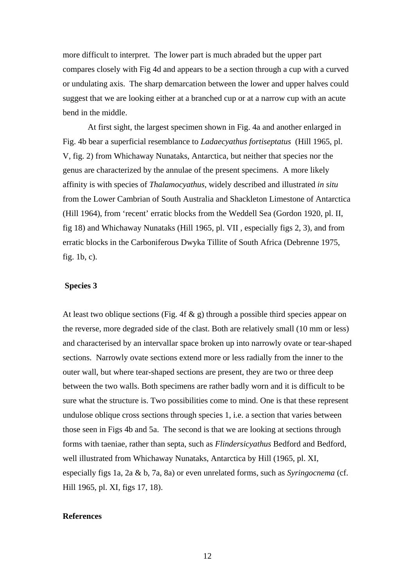more difficult to interpret. The lower part is much abraded but the upper part compares closely with Fig 4d and appears to be a section through a cup with a curved or undulating axis. The sharp demarcation between the lower and upper halves could suggest that we are looking either at a branched cup or at a narrow cup with an acute bend in the middle.

At first sight, the largest specimen shown in Fig. 4a and another enlarged in Fig. 4b bear a superficial resemblance to *Ladaecyathus fortiseptatus* (Hill 1965, pl. V, fig. 2) from Whichaway Nunataks, Antarctica, but neither that species nor the genus are characterized by the annulae of the present specimens. A more likely affinity is with species of *Thalamocyathus*, widely described and illustrated *in situ* from the Lower Cambrian of South Australia and Shackleton Limestone of Antarctica (Hill 1964), from 'recent' erratic blocks from the Weddell Sea (Gordon 1920, pl. II, fig 18) and Whichaway Nunataks (Hill 1965, pl. VII , especially figs 2, 3), and from erratic blocks in the Carboniferous Dwyka Tillite of South Africa (Debrenne 1975, fig. 1b, c).

# **Species 3**

At least two oblique sections (Fig. 4f  $\&$  g) through a possible third species appear on the reverse, more degraded side of the clast. Both are relatively small (10 mm or less) and characterised by an intervallar space broken up into narrowly ovate or tear-shaped sections. Narrowly ovate sections extend more or less radially from the inner to the outer wall, but where tear-shaped sections are present, they are two or three deep between the two walls. Both specimens are rather badly worn and it is difficult to be sure what the structure is. Two possibilities come to mind. One is that these represent undulose oblique cross sections through species 1, i.e. a section that varies between those seen in Figs 4b and 5a. The second is that we are looking at sections through forms with taeniae, rather than septa, such as *Flindersicyathus* Bedford and Bedford, well illustrated from Whichaway Nunataks, Antarctica by Hill (1965, pl. XI, especially figs 1a, 2a & b, 7a, 8a) or even unrelated forms, such as *Syringocnema* (cf. Hill 1965, pl. XI, figs 17, 18).

#### **References**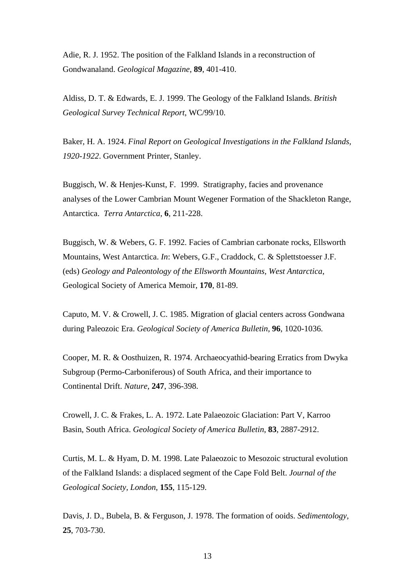Adie, R. J. 1952. The position of the Falkland Islands in a reconstruction of Gondwanaland. *Geological Magazine*, **89**, 401-410.

Aldiss, D. T. & Edwards, E. J. 1999. The Geology of the Falkland Islands. *British Geological Survey Technical Report*, WC/99/10.

Baker, H. A. 1924. *Final Report on Geological Investigations in the Falkland Islands, 1920-1922*. Government Printer, Stanley.

Buggisch, W. & Henjes-Kunst, F. 1999. Stratigraphy, facies and provenance analyses of the Lower Cambrian Mount Wegener Formation of the Shackleton Range, Antarctica. *Terra Antarctica*, **6**, 211-228.

Buggisch, W. & Webers, G. F. 1992. Facies of Cambrian carbonate rocks, Ellsworth Mountains, West Antarctica. *In*: Webers, G.F., Craddock, C. & Splettstoesser J.F. (eds) *Geology and Paleontology of the Ellsworth Mountains, West Antarctica*, Geological Society of America Memoir, **170**, 81-89.

Caputo, M. V. & Crowell, J. C. 1985. Migration of glacial centers across Gondwana during Paleozoic Era. *Geological Society of America Bulletin*, **96**, 1020-1036.

Cooper, M. R. & Oosthuizen, R. 1974. Archaeocyathid-bearing Erratics from Dwyka Subgroup (Permo-Carboniferous) of South Africa, and their importance to Continental Drift. *Nature*, **247**, 396-398.

Crowell, J. C. & Frakes, L. A. 1972. Late Palaeozoic Glaciation: Part V, Karroo Basin, South Africa. *Geological Society of America Bulletin*, **83**, 2887-2912.

Curtis, M. L. & Hyam, D. M. 1998. Late Palaeozoic to Mesozoic structural evolution of the Falkland Islands: a displaced segment of the Cape Fold Belt. *Journal of the Geological Society, London*, **155**, 115-129.

Davis, J. D., Bubela, B. & Ferguson, J. 1978. The formation of ooids. *Sedimentology*, **25**, 703-730.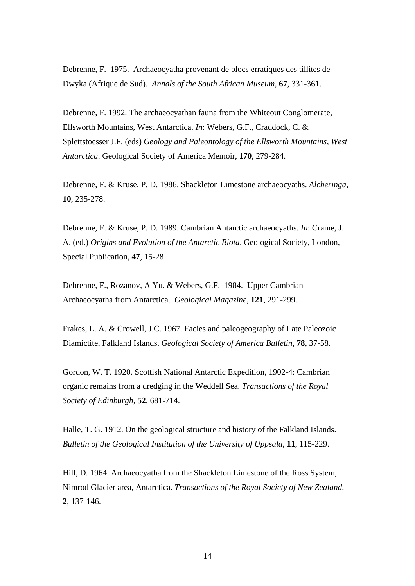Debrenne, F. 1975. Archaeocyatha provenant de blocs erratiques des tillites de Dwyka (Afrique de Sud). *Annals of the South African Museum*, **67**, 331-361.

Debrenne, F. 1992. The archaeocyathan fauna from the Whiteout Conglomerate, Ellsworth Mountains, West Antarctica. *In*: Webers, G.F., Craddock, C. & Splettstoesser J.F. (eds) *Geology and Paleontology of the Ellsworth Mountains, West Antarctica*. Geological Society of America Memoir, **170**, 279-284.

Debrenne, F. & Kruse, P. D. 1986. Shackleton Limestone archaeocyaths. *Alcheringa*, **10**, 235-278.

Debrenne, F. & Kruse, P. D. 1989. Cambrian Antarctic archaeocyaths. *In*: Crame, J. A. (ed.) *Origins and Evolution of the Antarctic Biota*. Geological Society, London, Special Publication, **47**, 15-28

Debrenne, F., Rozanov, A Yu. & Webers, G.F. 1984. Upper Cambrian Archaeocyatha from Antarctica. *Geological Magazine*, **121**, 291-299.

Frakes, L. A. & Crowell, J.C. 1967. Facies and paleogeography of Late Paleozoic Diamictite, Falkland Islands. *Geological Society of America Bulletin*, **78**, 37-58.

Gordon, W. T. 1920. Scottish National Antarctic Expedition, 1902-4: Cambrian organic remains from a dredging in the Weddell Sea. *Transactions of the Royal Society of Edinburgh*, **52**, 681-714.

Halle, T. G. 1912. On the geological structure and history of the Falkland Islands. *Bulletin of the Geological Institution of the University of Uppsala*, **11**, 115-229.

Hill, D. 1964. Archaeocyatha from the Shackleton Limestone of the Ross System, Nimrod Glacier area, Antarctica. *Transactions of the Royal Society of New Zealand*, **2**, 137-146.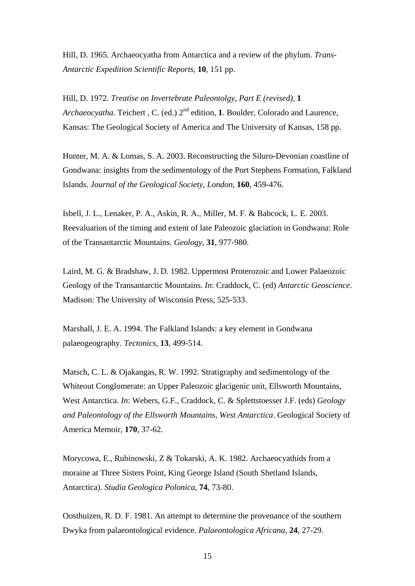Hill, D. 1965. Archaeocyatha from Antarctica and a review of the phylum. *Trans-Antarctic Expedition Scientific Reports*, **10**, 151 pp.

Hill, D. 1972. *Treatise on Invertebrate Paleontolgy, Part E (revised),* **1** *Archaeocyatha*. Teichert, C. (ed.) 2<sup>nd</sup> edition, **1**. Boulder, Colorado and Laurence, Kansas: The Geological Society of America and The University of Kansas, 158 pp.

Hunter, M. A. & Lomas, S. A. 2003. Reconstructing the Siluro-Devonian coastline of Gondwana: insights from the sedimentology of the Port Stephens Formation, Falkland Islands. *Journal of the Geological Society, London*, **160**, 459-476.

Isbell, J. L., Lenaker, P. A., Askin, R. A., Miller, M. F. & Babcock, L. E. 2003. Reevaluation of the timing and extent of late Paleozoic glaciation in Gondwana: Role of the Transantarctic Mountains. *Geology*, **31**, 977-980.

Laird, M. G. & Bradshaw, J. D. 1982. Uppermost Proterozoic and Lower Palaeozoic Geology of the Transantarctic Mountains. *In*: Craddock, C. (ed) *Antarctic Geoscience*. Madison: The University of Wisconsin Press, 525-533.

Marshall, J. E. A. 1994. The Falkland Islands: a key element in Gondwana palaeogeography. *Tectonics*, **13**, 499-514.

Matsch, C. L. & Ojakangas, R. W. 1992. Stratigraphy and sedimentology of the Whiteout Conglomerate: an Upper Paleozoic glacigenic unit, Ellsworth Mountains, West Antarctica. *In*: Webers, G.F., Craddock, C. & Splettstoesser J.F. (eds) *Geology and Paleontology of the Ellsworth Mountains, West Antarctica*. Geological Society of America Memoir, **170**, 37-62.

Morycowa, E., Rubinowski, Z & Tokarski, A. K. 1982. Archaeocyathids from a moraine at Three Sisters Point, King George Island (South Shetland Islands, Antarctica). *Studia Geologica Polonica*, **74**, 73-80.

Oosthuizen, R. D. F. 1981. An attempt to determine the provenance of the southern Dwyka from palaeontological evidence. *Palaeontologica Africana*, **24**, 27-29.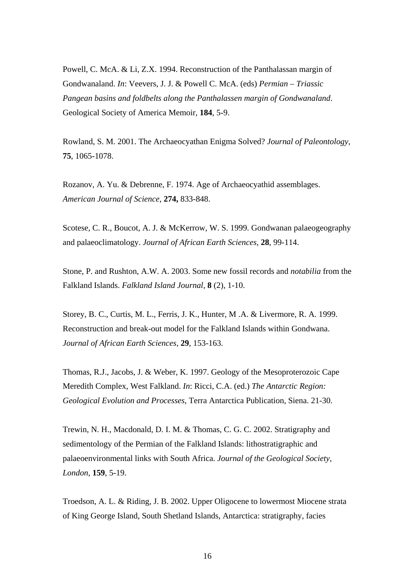Powell, C. McA. & Li, Z.X. 1994. Reconstruction of the Panthalassan margin of Gondwanaland. *In*: Veevers, J. J. & Powell C. McA. (eds) *Permian – Triassic Pangean basins and foldbelts along the Panthalassen margin of Gondwanaland*. Geological Society of America Memoir, **184**, 5-9.

Rowland, S. M. 2001. The Archaeocyathan Enigma Solved? *Journal of Paleontology*, **75**, 1065-1078.

Rozanov, A. Yu. & Debrenne, F. 1974. Age of Archaeocyathid assemblages. *American Journal of Science*, **274,** 833-848.

Scotese, C. R., Boucot, A. J. & McKerrow, W. S. 1999. Gondwanan palaeogeography and palaeoclimatology. *Journal of African Earth Sciences*, **28**, 99-114.

Stone, P. and Rushton, A.W. A. 2003. Some new fossil records and *notabilia* from the Falkland Islands. *Falkland Island Journal*, **8** (2), 1-10.

Storey, B. C., Curtis, M. L., Ferris, J. K., Hunter, M .A. & Livermore, R. A. 1999. Reconstruction and break-out model for the Falkland Islands within Gondwana. *Journal of African Earth Sciences*, **29**, 153-163.

Thomas, R.J., Jacobs, J. & Weber, K. 1997. Geology of the Mesoproterozoic Cape Meredith Complex, West Falkland. *In*: Ricci, C.A. (ed.) *The Antarctic Region: Geological Evolution and Processes*, Terra Antarctica Publication, Siena. 21-30.

Trewin, N. H., Macdonald, D. I. M. & Thomas, C. G. C. 2002. Stratigraphy and sedimentology of the Permian of the Falkland Islands: lithostratigraphic and palaeoenvironmental links with South Africa. *Journal of the Geological Society, London*, **159**, 5-19.

Troedson, A. L. & Riding, J. B. 2002. Upper Oligocene to lowermost Miocene strata of King George Island, South Shetland Islands, Antarctica: stratigraphy, facies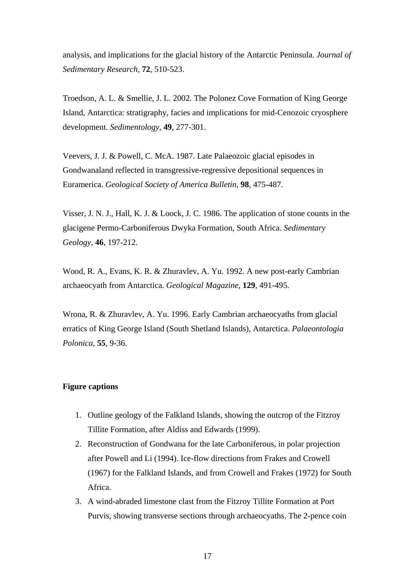analysis, and implications for the glacial history of the Antarctic Peninsula. *Journal of Sedimentary Research*, **72**, 510-523.

Troedson, A. L. & Smellie, J. L. 2002. The Polonez Cove Formation of King George Island, Antarctica: stratigraphy, facies and implications for mid-Cenozoic cryosphere development. *Sedimentology*, **49**, 277-301.

Veevers, J. J. & Powell, C. McA. 1987. Late Palaeozoic glacial episodes in Gondwanaland reflected in transgressive-regressive depositional sequences in Euramerica. *Geological Society of America Bulletin*, **98**, 475-487.

Visser, J. N. J., Hall, K. J. & Loock, J. C. 1986. The application of stone counts in the glacigene Permo-Carboniferous Dwyka Formation, South Africa. *Sedimentary Geology*, **46**, 197-212.

Wood, R. A., Evans, K. R. & Zhuravlev, A. Yu. 1992. A new post-early Cambrian archaeocyath from Antarctica. *Geological Magazine*, **129**, 491-495.

Wrona, R. & Zhuravlev, A. Yu. 1996. Early Cambrian archaeocyaths from glacial erratics of King George Island (South Shetland Islands), Antarctica. *Palaeontologia Polonica*, **55**, 9-36.

# **Figure captions**

- 1. Outline geology of the Falkland Islands, showing the outcrop of the Fitzroy Tillite Formation, after Aldiss and Edwards (1999).
- 2. Reconstruction of Gondwana for the late Carboniferous, in polar projection after Powell and Li (1994). Ice-flow directions from Frakes and Crowell (1967) for the Falkland Islands, and from Crowell and Frakes (1972) for South Africa.
- 3. A wind-abraded limestone clast from the Fitzroy Tillite Formation at Port Purvis, showing transverse sections through archaeocyaths. The 2-pence coin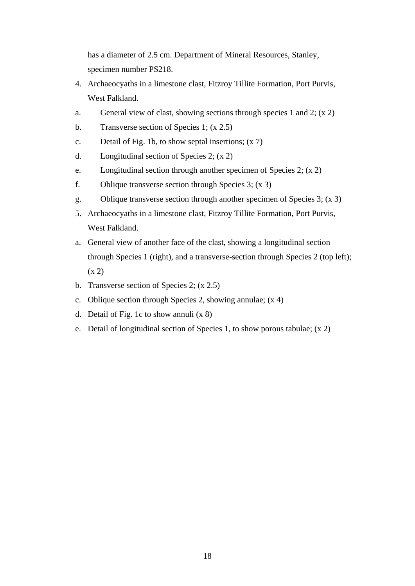has a diameter of 2.5 cm. Department of Mineral Resources, Stanley, specimen number PS218.

- 4. Archaeocyaths in a limestone clast, Fitzroy Tillite Formation, Port Purvis, West Falkland.
- a. General view of clast, showing sections through species 1 and 2;  $(x 2)$
- b. Transverse section of Species 1; (x 2.5)
- c. Detail of Fig. 1b, to show septal insertions; (x 7)
- d. Longitudinal section of Species 2; (x 2)
- e. Longitudinal section through another specimen of Species 2; (x 2)
- f. Oblique transverse section through Species 3; (x 3)
- g. Oblique transverse section through another specimen of Species 3; (x 3)
- 5. Archaeocyaths in a limestone clast, Fitzroy Tillite Formation, Port Purvis, West Falkland.
- a. General view of another face of the clast, showing a longitudinal section through Species 1 (right), and a transverse-section through Species 2 (top left);  $(x 2)$
- b. Transverse section of Species 2; (x 2.5)
- c. Oblique section through Species 2, showing annulae; (x 4)
- d. Detail of Fig. 1c to show annuli (x 8)
- e. Detail of longitudinal section of Species 1, to show porous tabulae; (x 2)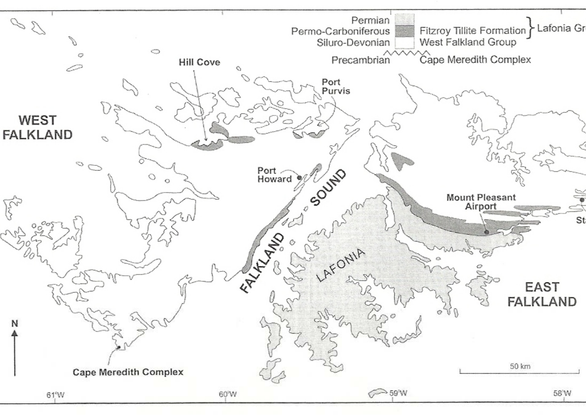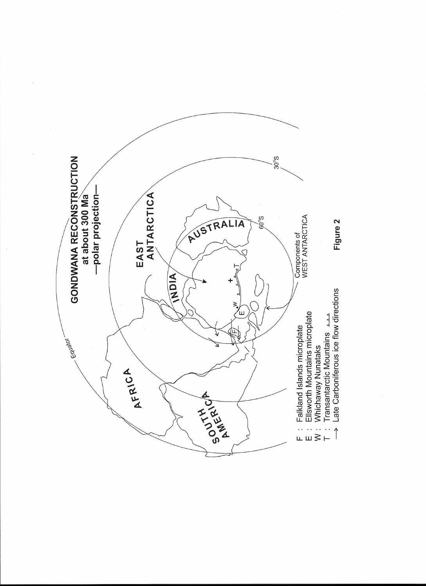